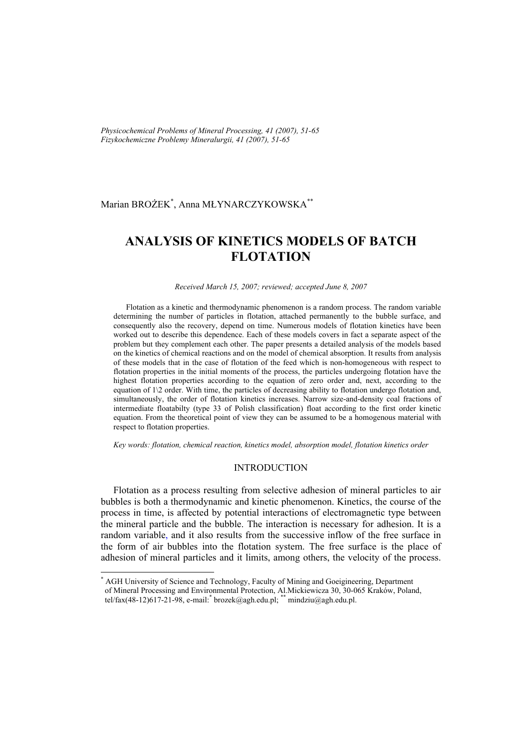*Physicochemical Problems of Mineral Processing, 41 (2007), 51-65 Fizykochemiczne Problemy Mineralurgii, 41 (2007), 51-65* 

## Marian BROŻEK\* , Anna MŁYNARCZYKOWSKA\*\*

# **ANALYSIS OF KINETICS MODELS OF BATCH FLOTATION**

#### *Received March 15, 2007; reviewed; accepted June 8, 2007*

Flotation as a kinetic and thermodynamic phenomenon is a random process. The random variable determining the number of particles in flotation, attached permanently to the bubble surface, and consequently also the recovery, depend on time. Numerous models of flotation kinetics have been worked out to describe this dependence. Each of these models covers in fact a separate aspect of the problem but they complement each other. The paper presents a detailed analysis of the models based on the kinetics of chemical reactions and on the model of chemical absorption. It results from analysis of these models that in the case of flotation of the feed which is non-homogeneous with respect to flotation properties in the initial moments of the process, the particles undergoing flotation have the highest flotation properties according to the equation of zero order and, next, according to the equation of  $1\angle$  order. With time, the particles of decreasing ability to flotation undergo flotation and, simultaneously, the order of flotation kinetics increases. Narrow size-and-density coal fractions of intermediate floatabilty (type 33 of Polish classification) float according to the first order kinetic equation. From the theoretical point of view they can be assumed to be a homogenous material with respect to flotation properties.

*Key words: flotation, chemical reaction, kinetics model, absorption model, flotation kinetics order* 

## INTRODUCTION

Flotation as a process resulting from selective adhesion of mineral particles to air bubbles is both a thermodynamic and kinetic phenomenon. Kinetics, the course of the process in time, is affected by potential interactions of electromagnetic type between the mineral particle and the bubble. The interaction is necessary for adhesion. It is a random variable, and it also results from the successive inflow of the free surface in the form of air bubbles into the flotation system. The free surface is the place of adhesion of mineral particles and it limits, among others, the velocity of the process.

l

<sup>\*</sup> AGH University of Science and Technology, Faculty of Mining and Goeigineering, Department of Mineral Processing and Environmental Protection, Al.Mickiewicza 30, 30-065 Kraków, Poland, tel/fax(48-12)617-21-98, e-mail: brozek@agh.edu.pl; \*\* mindziu@agh.edu.pl.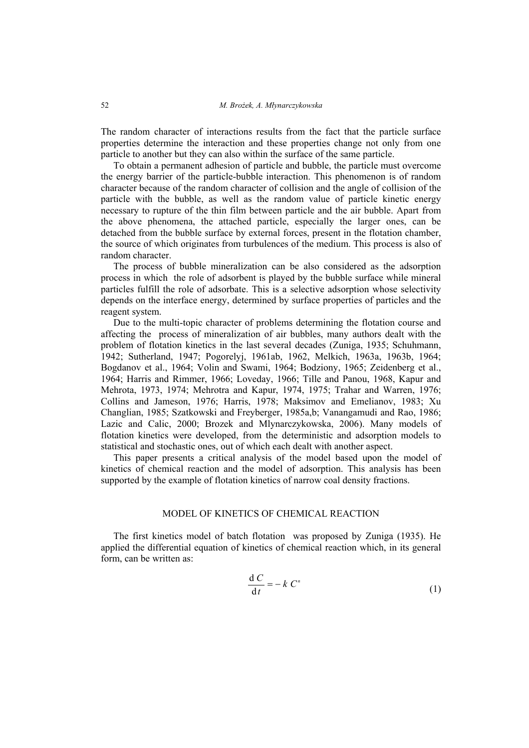The random character of interactions results from the fact that the particle surface properties determine the interaction and these properties change not only from one particle to another but they can also within the surface of the same particle.

To obtain a permanent adhesion of particle and bubble, the particle must overcome the energy barrier of the particle-bubble interaction. This phenomenon is of random character because of the random character of collision and the angle of collision of the particle with the bubble, as well as the random value of particle kinetic energy necessary to rupture of the thin film between particle and the air bubble. Apart from the above phenomena, the attached particle, especially the larger ones, can be detached from the bubble surface by external forces, present in the flotation chamber, the source of which originates from turbulences of the medium. This process is also of random character.

The process of bubble mineralization can be also considered as the adsorption process in which the role of adsorbent is played by the bubble surface while mineral particles fulfill the role of adsorbate. This is a selective adsorption whose selectivity depends on the interface energy, determined by surface properties of particles and the reagent system.

Due to the multi-topic character of problems determining the flotation course and affecting the process of mineralization of air bubbles, many authors dealt with the problem of flotation kinetics in the last several decades (Zuniga, 1935; Schuhmann, 1942; Sutherland, 1947; Pogorelyj, 1961ab, 1962, Melkich, 1963a, 1963b, 1964; Bogdanov et al., 1964; Volin and Swami, 1964; Bodziony, 1965; Zeidenberg et al., 1964; Harris and Rimmer, 1966; Loveday, 1966; Tille and Panou, 1968, Kapur and Mehrota, 1973, 1974; Mehrotra and Kapur, 1974, 1975; Trahar and Warren, 1976; Collins and Jameson, 1976; Harris, 1978; Maksimov and Emelianov, 1983; Xu Changlian, 1985; Szatkowski and Freyberger, 1985a,b; Vanangamudi and Rao, 1986; Lazic and Calic, 2000; Brozek and Mlynarczykowska, 2006). Many models of flotation kinetics were developed, from the deterministic and adsorption models to statistical and stochastic ones, out of which each dealt with another aspect.

This paper presents a critical analysis of the model based upon the model of kinetics of chemical reaction and the model of adsorption. This analysis has been supported by the example of flotation kinetics of narrow coal density fractions.

## MODEL OF KINETICS OF CHEMICAL REACTION

The first kinetics model of batch flotation was proposed by Zuniga (1935). He applied the differential equation of kinetics of chemical reaction which, in its general form, can be written as:

$$
\frac{\mathrm{d} C}{\mathrm{d} t} = -k C^n \tag{1}
$$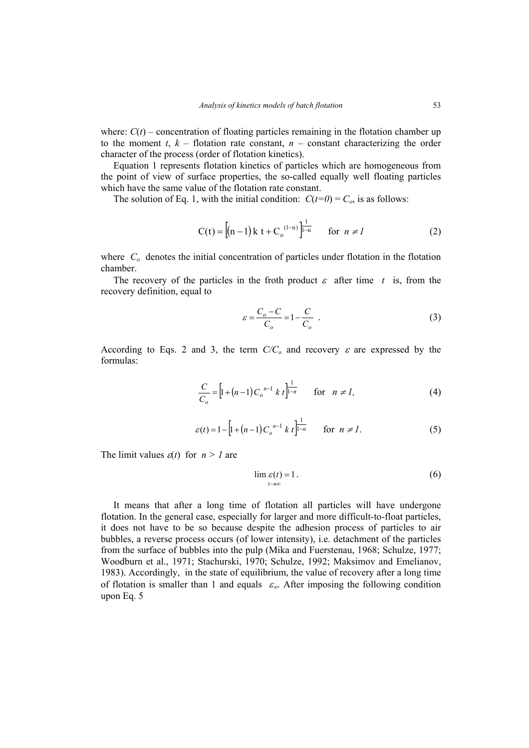where:  $C(t)$  – concentration of floating particles remaining in the flotation chamber up to the moment  $t$ ,  $k$  – flotation rate constant,  $n$  – constant characterizing the order character of the process (order of flotation kinetics).

Equation 1 represents flotation kinetics of particles which are homogeneous from the point of view of surface properties, the so-called equally well floating particles which have the same value of the flotation rate constant.

The solution of Eq. 1, with the initial condition:  $C(t=0) = C_o$ , is as follows:

$$
C(t) = [(n-1)k t + Co(1-n)]\frac{1}{1-n} for n \neq 1
$$
 (2)

where  $C<sub>o</sub>$  denotes the initial concentration of particles under flotation in the flotation chamber.

The recovery of the particles in the froth product  $\varepsilon$  after time t is, from the recovery definition, equal to

$$
\varepsilon = \frac{C_o - C}{C_o} = 1 - \frac{C}{C_o} \tag{3}
$$

According to Eqs. 2 and 3, the term  $C/C<sub>o</sub>$  and recovery  $\varepsilon$  are expressed by the formulas:

$$
\frac{C}{C_o} = \left[ 1 + (n-1)C_o^{n-1} k t \right]_{1-n}^{1} \quad \text{for} \quad n \neq l,
$$
\n(4)

$$
\varepsilon(t) = 1 - \left[ 1 + (n-1) C_o^{n-1} k t \right]_{1-n}^{1} \quad \text{for } n \neq 1.
$$
 (5)

The limit values  $\varepsilon(t)$  for  $n > 1$  are

$$
\lim_{t \to \infty} \varepsilon(t) = 1. \tag{6}
$$

It means that after a long time of flotation all particles will have undergone flotation. In the general case, especially for larger and more difficult-to-float particles, it does not have to be so because despite the adhesion process of particles to air bubbles, a reverse process occurs (of lower intensity), i.e. detachment of the particles from the surface of bubbles into the pulp (Mika and Fuerstenau, 1968; Schulze, 1977; Woodburn et al., 1971; Stachurski, 1970; Schulze, 1992; Maksimov and Emelianov, 1983). Accordingly, in the state of equilibrium, the value of recovery after a long time of flotation is smaller than 1 and equals  $\varepsilon_{\infty}$ . After imposing the following condition upon Eq. 5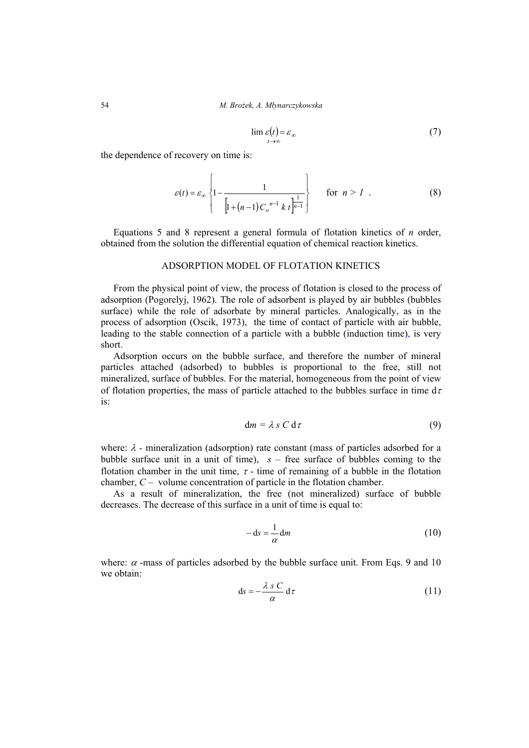$$
\lim_{t \to \infty} \varepsilon(t) = \varepsilon_{\infty} \tag{7}
$$

the dependence of recovery on time is:

$$
\varepsilon(t) = \varepsilon_{\infty} \left\{ 1 - \frac{1}{\left[ 1 + (n-1)C_o^{n-1} k t \right]_n^{\frac{1}{n-1}}} \right\} \quad \text{for } n > 1 . \tag{8}
$$

Equations 5 and 8 represent a general formula of flotation kinetics of *n* order, obtained from the solution the differential equation of chemical reaction kinetics.

### ADSORPTION MODEL OF FLOTATION KINETICS

From the physical point of view, the process of flotation is closed to the process of adsorption (Pogorelyj, 1962). The role of adsorbent is played by air bubbles (bubbles surface) while the role of adsorbate by mineral particles. Analogically, as in the process of adsorption (Oscik, 1973), the time of contact of particle with air bubble, leading to the stable connection of a particle with a bubble (induction time), is very short.

Adsorption occurs on the bubble surface, and therefore the number of mineral particles attached (adsorbed) to bubbles is proportional to the free, still not mineralized, surface of bubbles. For the material, homogeneous from the point of view of flotation properties, the mass of particle attached to the bubbles surface in time  $d\tau$ is:

$$
dm = \lambda s C d\tau \tag{9}
$$

where: λ *-* mineralization (adsorption) rate constant (mass of particles adsorbed for a bubble surface unit in a unit of time), *s* – free surface of bubbles coming to the flotation chamber in the unit time,  $\tau$  - time of remaining of a bubble in the flotation chamber, *C* – volume concentration of particle in the flotation chamber.

As a result of mineralization, the free (not mineralized) surface of bubble decreases. The decrease of this surface in a unit of time is equal to:

$$
-\,\mathrm{d}s = \frac{1}{\alpha}\,\mathrm{d}m\tag{10}
$$

where:  $\alpha$  -mass of particles adsorbed by the bubble surface unit. From Eqs. 9 and 10 we obtain:

$$
ds = -\frac{\lambda s C}{\alpha} d\tau \tag{11}
$$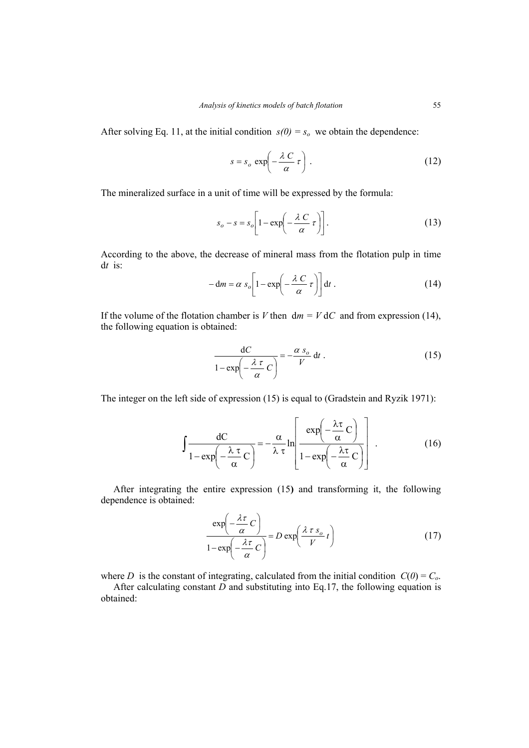After solving Eq. 11, at the initial condition  $s(0) = s_0$  we obtain the dependence:

$$
s = s_o \exp\left(-\frac{\lambda C}{\alpha} \tau\right). \tag{12}
$$

The mineralized surface in a unit of time will be expressed by the formula:

$$
s_o - s = s_o \left[ 1 - \exp\left(-\frac{\lambda C}{\alpha} \tau\right) \right].
$$
 (13)

According to the above, the decrease of mineral mass from the flotation pulp in time d*t* is:

$$
-\mathrm{d}m = \alpha s_o \left[1 - \exp\left(-\frac{\lambda C}{\alpha} \tau\right)\right] \mathrm{d}t \; . \tag{14}
$$

If the volume of the flotation chamber is *V* then  $dm = V dC$  and from expression (14), the following equation is obtained:

$$
\frac{dC}{1 - \exp\left(-\frac{\lambda \tau}{\alpha}C\right)} = -\frac{\alpha s_o}{V} dt.
$$
 (15)

The integer on the left side of expression (15) is equal to (Gradstein and Ryzik 1971):

$$
\int \frac{dC}{1 - \exp\left(-\frac{\lambda \tau}{\alpha}C\right)} = -\frac{\alpha}{\lambda \tau} \ln \left[\frac{\exp\left(-\frac{\lambda \tau}{\alpha}C\right)}{1 - \exp\left(-\frac{\lambda \tau}{\alpha}C\right)}\right].
$$
 (16)

After integrating the entire expression (15**)** and transforming it, the following dependence is obtained:

$$
\frac{\exp\left(-\frac{\lambda\tau}{\alpha}C\right)}{1-\exp\left(-\frac{\lambda\tau}{\alpha}C\right)} = D \exp\left(\frac{\lambda\tau s_o}{V}t\right)
$$
(17)

where *D* is the constant of integrating, calculated from the initial condition  $C(0) = C_0$ .

After calculating constant *D* and substituting into Eq.17, the following equation is obtained: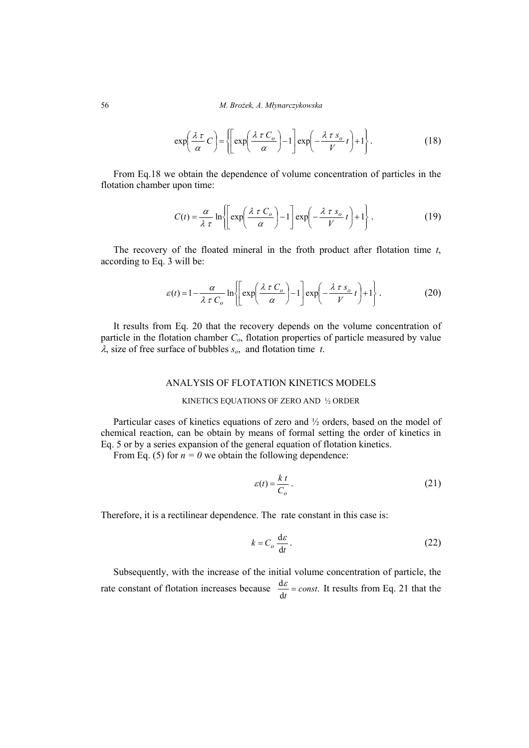$$
\exp\left(\frac{\lambda \tau}{\alpha}C\right) = \left\{ \left[ \exp\left(\frac{\lambda \tau C_o}{\alpha}\right) - 1 \right] \exp\left(-\frac{\lambda \tau s_o}{V}t\right) + 1 \right\}.
$$
 (18)

From Eq.18 we obtain the dependence of volume concentration of particles in the flotation chamber upon time:

$$
C(t) = \frac{\alpha}{\lambda \tau} \ln \left\{ \left[ \exp\left(\frac{\lambda \tau C_o}{\alpha}\right) - 1 \right] \exp\left(-\frac{\lambda \tau s_o}{V} t \right) + 1 \right\}.
$$
 (19)

The recovery of the floated mineral in the froth product after flotation time *t*, according to Eq. 3 will be:

$$
\varepsilon(t) = 1 - \frac{\alpha}{\lambda \tau C_o} \ln \left\{ \left[ \exp\left( \frac{\lambda \tau C_o}{\alpha} \right) - 1 \right] \exp\left( -\frac{\lambda \tau s_o}{V} t \right) + 1 \right\}.
$$
 (20)

It results from Eq. 20 that the recovery depends on the volume concentration of particle in the flotation chamber  $C<sub>o</sub>$ , flotation properties of particle measured by value <sup>λ</sup>, size of free surface of bubbles *so*, and flotation time *t*.

## ANALYSIS OF FLOTATION KINETICS MODELS

#### KINETICS EQUATIONS OF ZERO AND ½ ORDER

Particular cases of kinetics equations of zero and  $\frac{1}{2}$  orders, based on the model of chemical reaction, can be obtain by means of formal setting the order of kinetics in Eq. 5 or by a series expansion of the general equation of flotation kinetics.

From Eq. (5) for  $n = 0$  we obtain the following dependence:

$$
\varepsilon(t) = \frac{k \ t}{C_o} \,. \tag{21}
$$

Therefore, it is a rectilinear dependence. The rate constant in this case is:

$$
k = C_o \frac{d\varepsilon}{dt}.
$$
 (22)

Subsequently, with the increase of the initial volume concentration of particle, the rate constant of flotation increases because  $\frac{d\varepsilon}{dt} = const.$  It results from Eq. 21 that the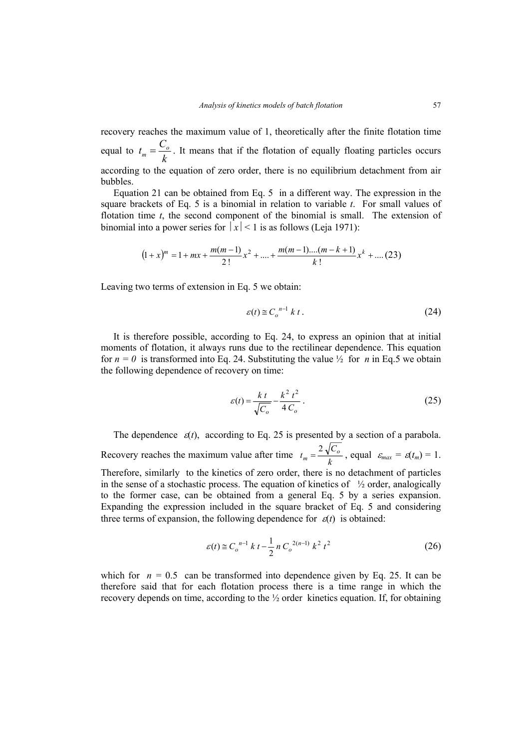recovery reaches the maximum value of 1, theoretically after the finite flotation time equal to  $t_m = \frac{C}{k}$  $t_m = \frac{C_o}{L}$ . It means that if the flotation of equally floating particles occurs according to the equation of zero order, there is no equilibrium detachment from air bubbles.

Equation 21 can be obtained from Eq. 5 in a different way. The expression in the square brackets of Eq. 5 is a binomial in relation to variable *t*. For small values of flotation time *t*, the second component of the binomial is small. The extension of binomial into a power series for  $|x| < 1$  is as follows (Leia 1971):

$$
(1+x)^m = 1 + mx + \frac{m(m-1)}{2!}x^2 + \dots + \frac{m(m-1)\dots(m-k+1)}{k!}x^k + \dots (23)
$$

Leaving two terms of extension in Eq. 5 we obtain:

$$
\varepsilon(t) \cong C_o^{n-1} \; k \; t \; . \tag{24}
$$

It is therefore possible, according to Eq. 24, to express an opinion that at initial moments of flotation, it always runs due to the rectilinear dependence. This equation for  $n = 0$  is transformed into Eq. 24. Substituting the value  $\frac{1}{2}$  for *n* in Eq.5 we obtain the following dependence of recovery on time:

$$
\varepsilon(t) = \frac{k t}{\sqrt{C_o}} - \frac{k^2 t^2}{4 C_o} \,. \tag{25}
$$

The dependence  $\varepsilon(t)$ , according to Eq. 25 is presented by a section of a parabola. Recovery reaches the maximum value after time  $t_m = \frac{2\sqrt{C_o}}{k}$ , equal  $\varepsilon_{max} = \varepsilon(t_m) = 1$ . Therefore, similarly to the kinetics of zero order, there is no detachment of particles in the sense of a stochastic process. The equation of kinetics of  $\frac{1}{2}$  order, analogically to the former case, can be obtained from a general Eq. 5 by a series expansion. Expanding the expression included in the square bracket of Eq. 5 and considering three terms of expansion, the following dependence for  $\varepsilon(t)$  is obtained:

$$
\varepsilon(t) \cong C_o^{n-1} \; k \; t - \frac{1}{2} \, n \, C_o^{2(n-1)} \; k^2 \; t^2 \tag{26}
$$

which for  $n = 0.5$  can be transformed into dependence given by Eq. 25. It can be therefore said that for each flotation process there is a time range in which the recovery depends on time, according to the  $\frac{1}{2}$  order kinetics equation. If, for obtaining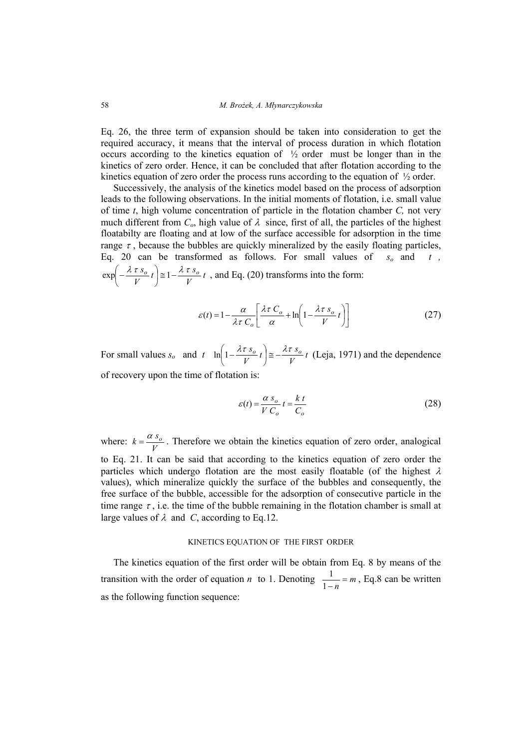Eq. 26, the three term of expansion should be taken into consideration to get the required accuracy, it means that the interval of process duration in which flotation occurs according to the kinetics equation of  $\frac{1}{2}$  order must be longer than in the kinetics of zero order. Hence, it can be concluded that after flotation according to the kinetics equation of zero order the process runs according to the equation of  $\frac{1}{2}$  order.

Successively, the analysis of the kinetics model based on the process of adsorption leads to the following observations. In the initial moments of flotation, i.e. small value of time *t*, high volume concentration of particle in the flotation chamber *C,* not very much different from  $C_o$ , high value of  $\lambda$  since, first of all, the particles of the highest floatabilty are floating and at low of the surface accessible for adsorption in the time range  $\tau$ , because the bubbles are quickly mineralized by the easily floating particles, Eq. 20 can be transformed as follows. For small values of  $s_0$  and  $t$ ,  $\frac{t}{V}$   $\frac{b}{v}$  t  $\left(-\frac{\lambda \tau s_o}{V} t\right) \approx 1 - \frac{\lambda \tau s_o}{V}$ ⎝  $\exp\left(-\frac{\lambda \tau s_o}{r} t\right) \approx 1 - \frac{\lambda \tau s_o}{r} t$ , and Eq. (20) transforms into the form:

$$
\varepsilon(t) = 1 - \frac{\alpha}{\lambda \tau C_o} \left[ \frac{\lambda \tau C_o}{\alpha} + \ln \left( 1 - \frac{\lambda \tau s_o}{V} t \right) \right]
$$
(27)

For small values  $s_o$  and  $t \ln \left(1 - \frac{\lambda t}{V} \right) \approx -\frac{\lambda t}{V} \frac{s_o}{V} t$  $\left(1 - \frac{\lambda \tau s_o}{V} t\right) \approx -\frac{\lambda \tau s_o}{V}$ ⎝  $\ln \left( 1 - \frac{\lambda \tau s_o}{\sigma} t \right) \approx -\frac{\lambda \tau s_o}{\sigma} t$  (Leja, 1971) and the dependence of recovery upon the time of flotation is:

$$
\varepsilon(t) = \frac{\alpha s_o}{V C_o} t = \frac{k t}{C_o} \tag{28}
$$

where:  $k = \frac{\alpha s_o}{V}$ . Therefore we obtain the kinetics equation of zero order, analogical to Eq. 21. It can be said that according to the kinetics equation of zero order the particles which undergo flotation are the most easily floatable (of the highest  $\lambda$ values), which mineralize quickly the surface of the bubbles and consequently, the free surface of the bubble, accessible for the adsorption of consecutive particle in the time range  $\tau$ , i.e. the time of the bubble remaining in the flotation chamber is small at large values of  $\lambda$  and *C*, according to Eq.12.

### KINETICS EQUATION OF THE FIRST ORDER

The kinetics equation of the first order will be obtain from Eq. 8 by means of the transition with the order of equation *n* to 1. Denoting  $\frac{1}{1-n} = m$ , Eq.8 can be written as the following function sequence: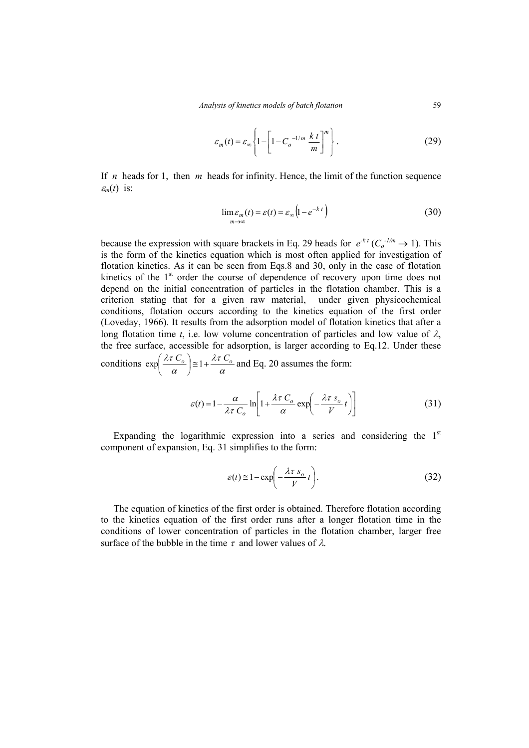$$
\varepsilon_m(t) = \varepsilon_\infty \left\{ 1 - \left[ 1 - C_o^{-1/m} \frac{k \ t}{m} \right]^m \right\}.
$$
 (29)

If *n* heads for 1, then *m* heads for infinity. Hence, the limit of the function sequence  $\varepsilon_m(t)$  is:

$$
\lim_{m \to \infty} \varepsilon_m(t) = \varepsilon(t) = \varepsilon_\infty \left( 1 - e^{-k \ t} \right) \tag{30}
$$

because the expression with square brackets in Eq. 29 heads for  $e^{kt}$  ( $C_o^{-1/m} \rightarrow 1$ ). This is the form of the kinetics equation which is most often applied for investigation of flotation kinetics. As it can be seen from Eqs.8 and 30, only in the case of flotation kinetics of the  $1<sup>st</sup>$  order the course of dependence of recovery upon time does not depend on the initial concentration of particles in the flotation chamber. This is a criterion stating that for a given raw material, under given physicochemical conditions, flotation occurs according to the kinetics equation of the first order (Loveday, 1966). It results from the adsorption model of flotation kinetics that after a long flotation time *t*, i.e. low volume concentration of particles and low value of  $\lambda$ , the free surface, accessible for adsorption, is larger according to Eq.12. Under these λτ

conditions  $\exp\left(\frac{\lambda t C_o}{\alpha}\right) \approx 1 + \frac{\lambda t C_o}{\alpha}$  $\left(\frac{\lambda \tau C_o}{\alpha}\right) \cong 1 + \frac{\lambda \tau C_o}{\alpha}$ ⎝  $\exp\left(\frac{\lambda \tau C_o}{\lambda}\right) \approx 1 + \frac{\lambda \tau C_o}{\lambda}$  and Eq. 20 assumes the form:

$$
\varepsilon(t) = 1 - \frac{\alpha}{\lambda \tau C_o} \ln \left[ 1 + \frac{\lambda \tau C_o}{\alpha} \exp \left( -\frac{\lambda \tau s_o}{V} t \right) \right]
$$
(31)

Expanding the logarithmic expression into a series and considering the  $1<sup>st</sup>$ component of expansion, Eq. 31 simplifies to the form:

$$
\varepsilon(t) \approx 1 - \exp\left(-\frac{\lambda \tau s_o}{V} t\right). \tag{32}
$$

The equation of kinetics of the first order is obtained. Therefore flotation according to the kinetics equation of the first order runs after a longer flotation time in the conditions of lower concentration of particles in the flotation chamber, larger free surface of the bubble in the time  $\tau$  and lower values of  $\lambda$ .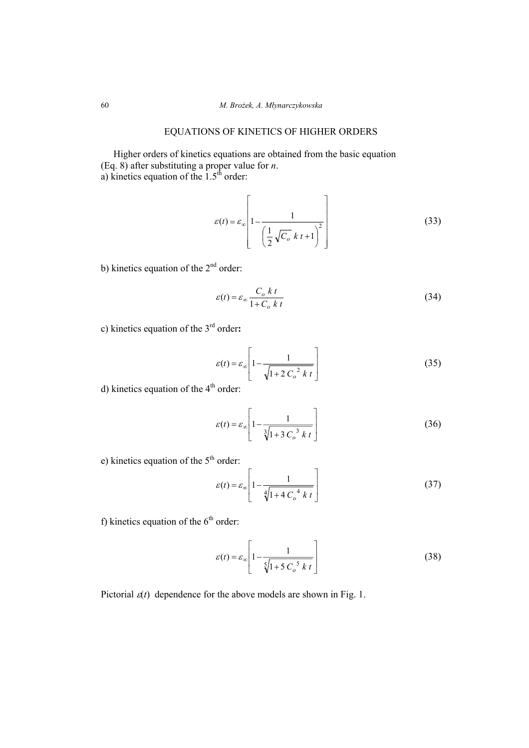## EQUATIONS OF KINETICS OF HIGHER ORDERS

Higher orders of kinetics equations are obtained from the basic equation (Eq. 8) after substituting a proper value for *n*. a) kinetics equation of the  $1.5<sup>th</sup>$  order:

$$
\varepsilon(t) = \varepsilon_{\infty} \left[ 1 - \frac{1}{\left( \frac{1}{2} \sqrt{C_o} \ k t + 1 \right)^2} \right]
$$
(33)

b) kinetics equation of the  $2<sup>nd</sup>$  order:

$$
\varepsilon(t) = \varepsilon_{\infty} \frac{C_o \, k \, t}{1 + C_o \, k \, t} \tag{34}
$$

c) kinetics equation of the 3rd order**:**

$$
\varepsilon(t) = \varepsilon_{\infty} \left[ 1 - \frac{1}{\sqrt{1 + 2 C_o^2 k t}} \right]
$$
 (35)

d) kinetics equation of the  $4<sup>th</sup>$  order:

$$
\varepsilon(t) = \varepsilon_{\infty} \left[ 1 - \frac{1}{\sqrt[3]{1 + 3 C_o^3 k t}} \right]
$$
 (36)

e) kinetics equation of the  $5<sup>th</sup>$  order:

$$
\varepsilon(t) = \varepsilon_{\infty} \left[ 1 - \frac{1}{\sqrt[4]{1 + 4 C_o^4 k t}} \right]
$$
 (37)

f) kinetics equation of the  $6<sup>th</sup>$  order:

$$
\varepsilon(t) = \varepsilon_{\infty} \left[ 1 - \frac{1}{\sqrt[5]{1 + 5 C_o^5 k t}} \right]
$$
 (38)

Pictorial  $\varepsilon(t)$  dependence for the above models are shown in Fig. 1.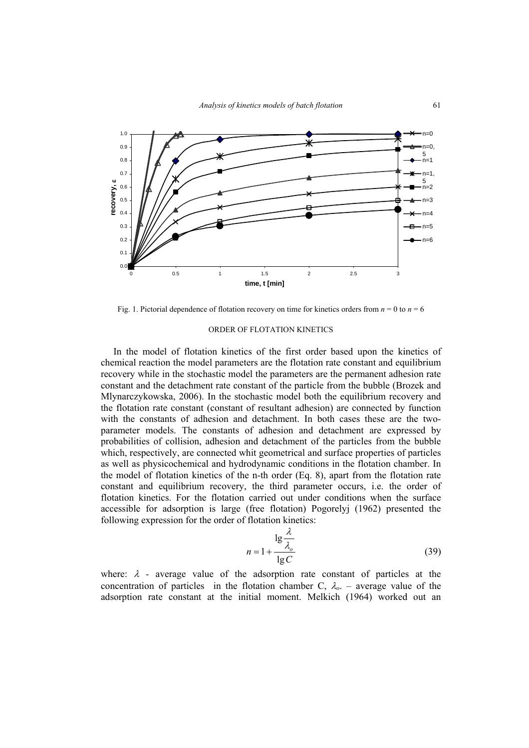

Fig. 1. Pictorial dependence of flotation recovery on time for kinetics orders from  $n = 0$  to  $n = 6$ 

### ORDER OF FLOTATION KINETICS

In the model of flotation kinetics of the first order based upon the kinetics of chemical reaction the model parameters are the flotation rate constant and equilibrium recovery while in the stochastic model the parameters are the permanent adhesion rate constant and the detachment rate constant of the particle from the bubble (Brozek and Mlynarczykowska, 2006). In the stochastic model both the equilibrium recovery and the flotation rate constant (constant of resultant adhesion) are connected by function with the constants of adhesion and detachment. In both cases these are the twoparameter models. The constants of adhesion and detachment are expressed by probabilities of collision, adhesion and detachment of the particles from the bubble which, respectively, are connected whit geometrical and surface properties of particles as well as physicochemical and hydrodynamic conditions in the flotation chamber. In the model of flotation kinetics of the n-th order (Eq. 8), apart from the flotation rate constant and equilibrium recovery, the third parameter occurs, i.e. the order of flotation kinetics. For the flotation carried out under conditions when the surface accessible for adsorption is large (free flotation) Pogorelyj (1962) presented the following expression for the order of flotation kinetics:

$$
n = 1 + \frac{\lg \frac{\lambda}{\lambda_o}}{\lg C}
$$
 (39)

where:  $\lambda$  - average value of the adsorption rate constant of particles at the concentration of particles in the flotation chamber C,  $\lambda_{o}$ . – average value of the adsorption rate constant at the initial moment. Melkich (1964) worked out an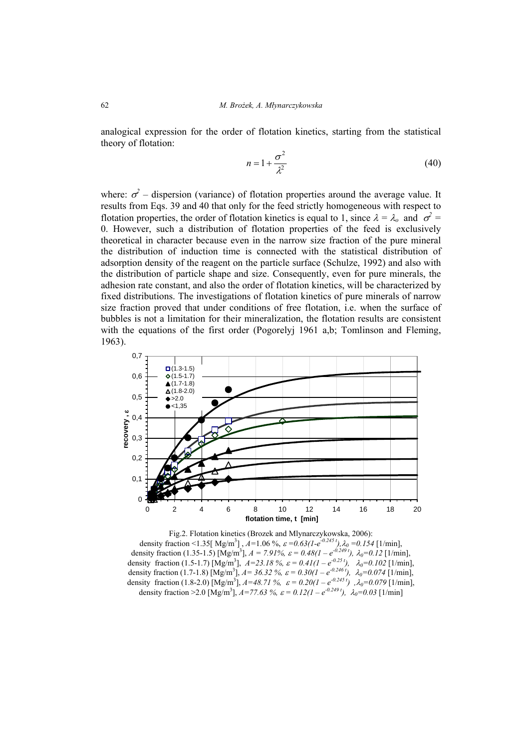analogical expression for the order of flotation kinetics, starting from the statistical theory of flotation:

$$
n = 1 + \frac{\sigma^2}{\lambda^2} \tag{40}
$$

where:  $\sigma^2$  – dispersion (variance) of flotation properties around the average value. It results from Eqs. 39 and 40 that only for the feed strictly homogeneous with respect to flotation properties, the order of flotation kinetics is equal to 1, since  $\lambda = \lambda_o$  and  $\sigma^2 =$ 0. However, such a distribution of flotation properties of the feed is exclusively theoretical in character because even in the narrow size fraction of the pure mineral the distribution of induction time is connected with the statistical distribution of adsorption density of the reagent on the particle surface (Schulze, 1992) and also with the distribution of particle shape and size. Consequently, even for pure minerals, the adhesion rate constant, and also the order of flotation kinetics, will be characterized by fixed distributions. The investigations of flotation kinetics of pure minerals of narrow size fraction proved that under conditions of free flotation, i.e. when the surface of bubbles is not a limitation for their mineralization, the flotation results are consistent with the equations of the first order (Pogorelyj 1961 a,b; Tomlinson and Fleming, 1963).



Fig.2. Flotation kinetics (Brozek and Mlynarczykowska, 2006): density fraction <1.35[ Mg/m3 ] , *A=*1.06 %, ε *=0.63(1-e-0.245 t),*λ*0 =0.154* [1/min], density fraction (1.35-1.5) [Mg/m<sup>3</sup>],  $A = 7.91\%$ ,  $\varepsilon = 0.48(1 - e^{-0.249t})$ ,  $\lambda_0 = 0.12$  [1/min], density fraction (1.5-1.7) [Mg/m<sup>3</sup>],  $A=23.18\%$ ,  $\varepsilon = 0.41(1 - e^{-0.25t})$ ,  $\lambda_0=0.102$  [1/min], density fraction (1.7-1.8) [Mg/m<sup>3</sup>],  $A = 36.32 \%$ ,  $\varepsilon = 0.30(1 - e^{-0.246t})$ ,  $\lambda_0 = 0.074$  [1/min], density fraction (1.8-2.0) [Mg/m<sup>3</sup>],  $A=48.71\%$ ,  $\varepsilon = 0.20(1 - e^{-0.245t})$ ,  $\lambda_0=0.079$  [1/min], density fraction >2.0 [Mg/m<sup>3</sup>],  $A=77.63\%$ ,  $\varepsilon = 0.12(1 - e^{-0.249t})$ ,  $\lambda_0=0.03$  [1/min]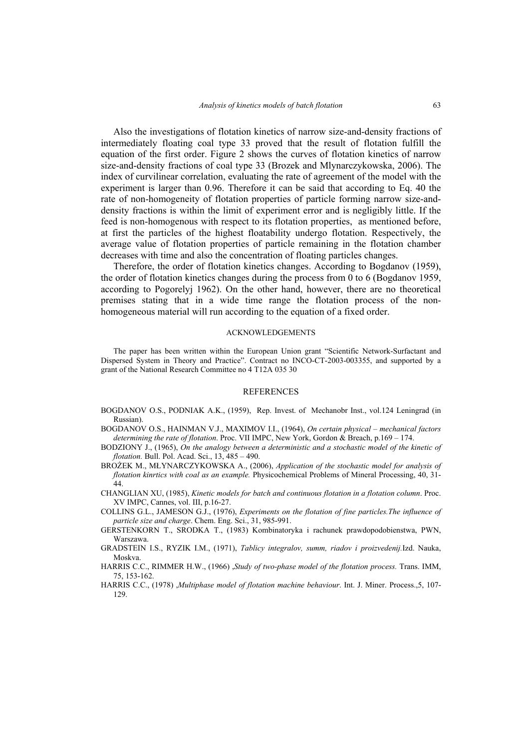Also the investigations of flotation kinetics of narrow size-and-density fractions of intermediately floating coal type 33 proved that the result of flotation fulfill the equation of the first order. Figure 2 shows the curves of flotation kinetics of narrow size-and-density fractions of coal type 33 (Brozek and Mlynarczykowska, 2006). The index of curvilinear correlation, evaluating the rate of agreement of the model with the experiment is larger than 0.96. Therefore it can be said that according to Eq. 40 the rate of non-homogeneity of flotation properties of particle forming narrow size-anddensity fractions is within the limit of experiment error and is negligibly little. If the feed is non-homogenous with respect to its flotation properties, as mentioned before, at first the particles of the highest floatability undergo flotation. Respectively, the average value of flotation properties of particle remaining in the flotation chamber decreases with time and also the concentration of floating particles changes.

Therefore, the order of flotation kinetics changes. According to Bogdanov (1959), the order of flotation kinetics changes during the process from 0 to 6 (Bogdanov 1959, according to Pogorelyj 1962). On the other hand, however, there are no theoretical premises stating that in a wide time range the flotation process of the nonhomogeneous material will run according to the equation of a fixed order.

#### ACKNOWLEDGEMENTS

The paper has been written within the European Union grant "Scientific Network-Surfactant and Dispersed System in Theory and Practice". Contract no INCO-CT-2003-003355, and supported by a grant of the National Research Committee no 4 T12A 035 30

#### REFERENCES

- BOGDANOV O.S., PODNIAK A.K., (1959), Rep. Invest. of Mechanobr Inst., vol.124 Leningrad (in Russian).
- BOGDANOV O.S., HAINMAN V.J., MAXIMOV I.I., (1964), *On certain physical mechanical factors determining the rate of flotation*. Proc. VII IMPC, New York, Gordon & Breach, p.169 – 174.
- BODZIONY J., (1965), *On the analogy between a deterministic and a stochastic model of the kinetic of flotation.* Bull. Pol. Acad. Sci., 13, 485 – 490.
- BROŻEK M., MŁYNARCZYKOWSKA A., (2006), *Application of the stochastic model for analysis of flotation kinrtics with coal as an example.* Physicochemical Problems of Mineral Processing, 40, 31- 44.
- CHANGLIAN XU, (1985), *Kinetic models for batch and continuous flotation in a flotation column*. Proc. XV IMPC, Cannes, vol. III, p.16-27.
- COLLINS G.L., JAMESON G.J., (1976), *Experiments on the flotation of fine particles.The influence of particle size and charge*. Chem. Eng. Sci., 31, 985-991.
- GERSTENKORN T., SRODKA T., (1983) Kombinatoryka i rachunek prawdopodobienstwa, PWN, Warszawa.
- GRADSTEIN I.S., RYZIK I.M., (1971), *Tablicy integralov, summ, riadov i proizvedenij.*Izd. Nauka, Moskva.
- HARRIS C.C., RIMMER H.W., (1966) ,*Study of two-phase model of the flotation process.* Trans. IMM, 75, 153-162.
- HARRIS C.C., (1978) ,*Multiphase model of flotation machine behaviour*. Int. J. Miner. Process.,5, 107- 129.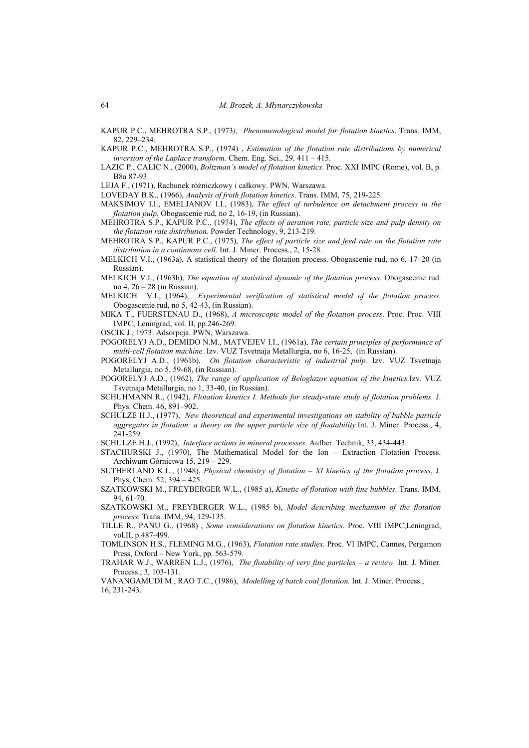KAPUR P.C., MEHROTRA S.P., (1973*), Phenomenological model for flotation kinetics*. Trans. IMM, 82, 229–234.

KAPUR P.C., MEHROTRA S.P., (1974) , *Estimation of the flotation rate distributions by numerical inversion of the Laplace transform.* Chem. Eng. Sci., 29, 411 – 415.

LAZIC P., CALIC N., (2000), *Boltzman's model of flotation kinetics*. Proc. XXI IMPC (Rome), vol. B, p. B8a 87-93.

LEJA F., (1971), Rachunek różniczkowy i całkowy. PWN, Warszawa.

LOVEDAY B.K., (1966), *Analysis of froth flotation kinetics*. Trans. IMM, 75, 219-225.

- MAKSIMOV I.I., EMELJANOV I.I., (1983), *The effect of turbulence on detachment process in the flotation pulp.* Obogascenie rud, no 2, 16-19, (in Russian).
- MEHROTRA S.P., KAPUR P.C., (1974), *The effects of aeration rate, particle size and pulp density on the flotation rate distribution.* Powder Technology, 9, 213-219.

MEHROTRA S.P., KAPUR P.C., (1975), *The effect of particle size and feed rate on the flotation rate distribution in a continuous cell.* Int. J. Miner. Process., 2, 15-28.

- MELKICH V.I., (1963a), A statistical theory of the flotation process. Obogascenie rud, no 6, 17–20 (in Russian).
- MELKICH V.I., (1963b), *The equation of statistical dynamic of the flotation process.* Obogascenie rud. no 4, 26 – 28 (in Russian).
- MELKICH V.I., (1964), *Experimental verification of statistical model of the flotation process.* Obogascenie rud, no 5, 42-43, (in Russian).
- MIKA T., FUERSTENAU D., (1968), *A microscopic model of the flotation process*. Proc. Proc. VIII IMPC, Leningrad, vol. II, pp.246-269.
- OSCIK J., 1973. Adsorpcja. PWN, Warszawa.

POGORELYJ A.D., DEMIDO N.M., MATVEJEV I.I., (1961a), *The certain principles of performance of multi-cell flotation machine.* Izv. VUZ Tsvetnaja Metallurgia, no 6, 16-25, (in Russian).

POGORELYJ A.D., (1961b), *On flotation characteristic of industrial pulp.* Izv. VUZ Tsvetnaja Metallurgia, no 5, 59-68, (in Russian).

POGORELYJ A.D., (1962), *The range of application of Beloglazov equation of the kinetics.*Izv. VUZ Tsvetnaja Metallurgia, no 1, 33-40, (in Russian).

- SCHUHMANN R., (1942), *Flotation kinetics I. Methods for steady-state study of flotation problems.* J. Phys. Chem. 46, 891–902.
- SCHULZE H.J., (1977), *New theoretical and experimental investigations on stability of bubble particle aggregates in flotation: a theory on the upper particle size of floatability.*Int. J. Miner. Process., 4, 241-259.

SCHULZE H.J., (1992), *Interface actions in mineral processes*. Aufber. Technik, 33, 434-443.

STACHURSKI J., (1970), The Mathematical Model for the Ion – Extraction Flotation Process. Archiwum Górnictwa 15, 219 – 229.

- SUTHERLAND K.L., (1948), *Physical chemistry of flotation XI kinetics of the flotation process*, J. Phys, Chem. 52, 394 – 425.
- SZATKOWSKI M., FREYBERGER W.L., (1985 a), *Kinetic of flotation with fine bubbles*. Trans. IMM, 94, 61-70.
- SZATKOWSKI M., FREYBERGER W.L., (1985 b), *Model describing mechanism of the flotation process.* Trans. IMM, 94, 129-135.
- TILLE R., PANU G., (1968) , *Some considerations on flotation kinetics*. Proc. VIII IMPC,Leningrad, vol.II, p.487-499.
- TOMLINSON H.S., FLEMING M.G., (1963), *Flotation rate studies*. Proc. VI IMPC, Cannes, Pergamon Press, Oxford – New York, pp. 563-579.
- TRAHAR W.J., WARREN L.J., (1976), *The flotability of very fine particles a review.* Int. J. Miner. Process., 3, 103-131.

VANANGAMUDI M., RAO T.C., (1986), *Modelling of batch coal flotation.* Int. J. Miner. Process., 16, 231-243.